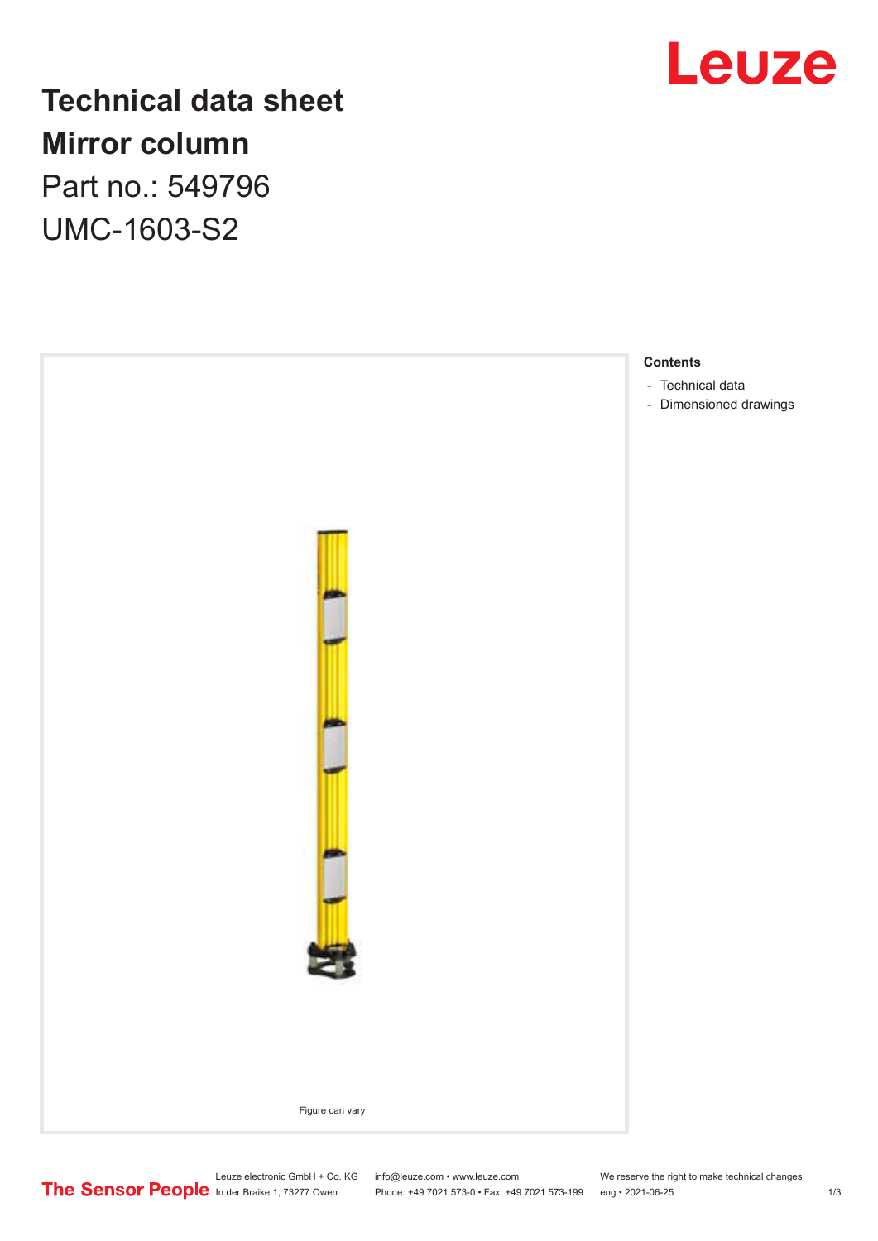

## **Technical data sheet Mirror column** Part no.: 549796

UMC-1603-S2



Leuze electronic GmbH + Co. KG info@leuze.com • www.leuze.com We reserve the right to make technical changes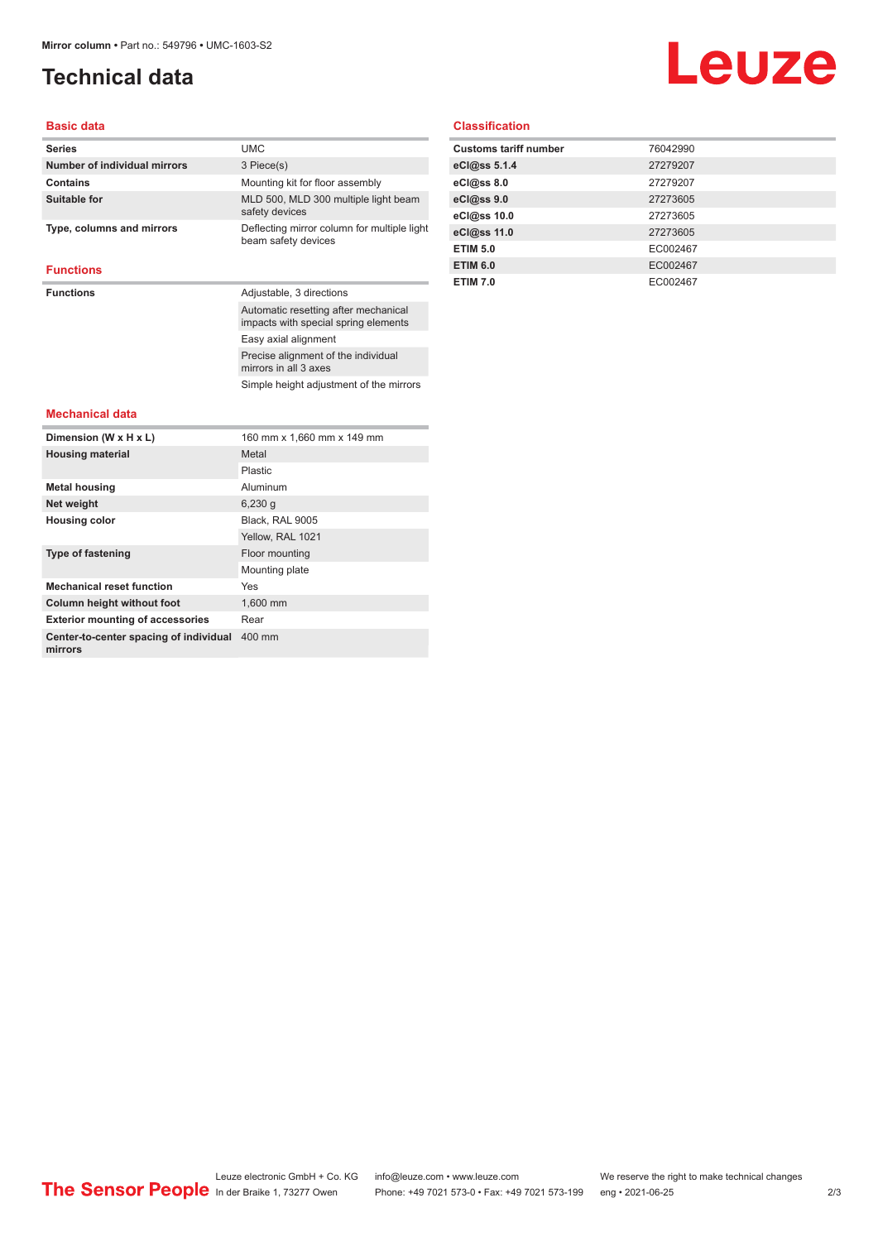### <span id="page-1-0"></span>**Technical data**

# Leuze

#### **Basic data**

| <b>Series</b>                | <b>UMC</b>                                                         |
|------------------------------|--------------------------------------------------------------------|
| Number of individual mirrors | 3 Piece(s)                                                         |
| Contains                     | Mounting kit for floor assembly                                    |
| Suitable for                 | MLD 500, MLD 300 multiple light beam<br>safety devices             |
| Type, columns and mirrors    | Deflecting mirror column for multiple light<br>beam safety devices |
| <b>Functions</b>             |                                                                    |

| <b>Functions</b> | Adjustable, 3 directions                                                     |
|------------------|------------------------------------------------------------------------------|
|                  | Automatic resetting after mechanical<br>impacts with special spring elements |
|                  | Easy axial alignment                                                         |
|                  | Precise alignment of the individual<br>mirrors in all 3 axes                 |
|                  | Simple height adjustment of the mirrors                                      |

#### **Classification**

| <b>Customs tariff number</b> | 76042990 |
|------------------------------|----------|
| eCl@ss 5.1.4                 | 27279207 |
| eCl@ss 8.0                   | 27279207 |
| eCl@ss 9.0                   | 27273605 |
| eCl@ss 10.0                  | 27273605 |
| eCl@ss 11.0                  | 27273605 |
| <b>ETIM 5.0</b>              | EC002467 |
| <b>ETIM 6.0</b>              | EC002467 |
| <b>ETIM 7.0</b>              | EC002467 |

#### **Mechanical data**

| Dimension (W x H x L)                             | 160 mm x 1,660 mm x 149 mm |
|---------------------------------------------------|----------------------------|
| <b>Housing material</b>                           | Metal                      |
|                                                   | Plastic                    |
| <b>Metal housing</b>                              | Aluminum                   |
| Net weight                                        | 6,230q                     |
| <b>Housing color</b>                              | Black, RAL 9005            |
|                                                   | Yellow. RAL 1021           |
| <b>Type of fastening</b>                          | Floor mounting             |
|                                                   | Mounting plate             |
| <b>Mechanical reset function</b>                  | Yes                        |
| <b>Column height without foot</b>                 | 1.600 mm                   |
| <b>Exterior mounting of accessories</b>           | Rear                       |
| Center-to-center spacing of individual<br>mirrors | 400 mm                     |